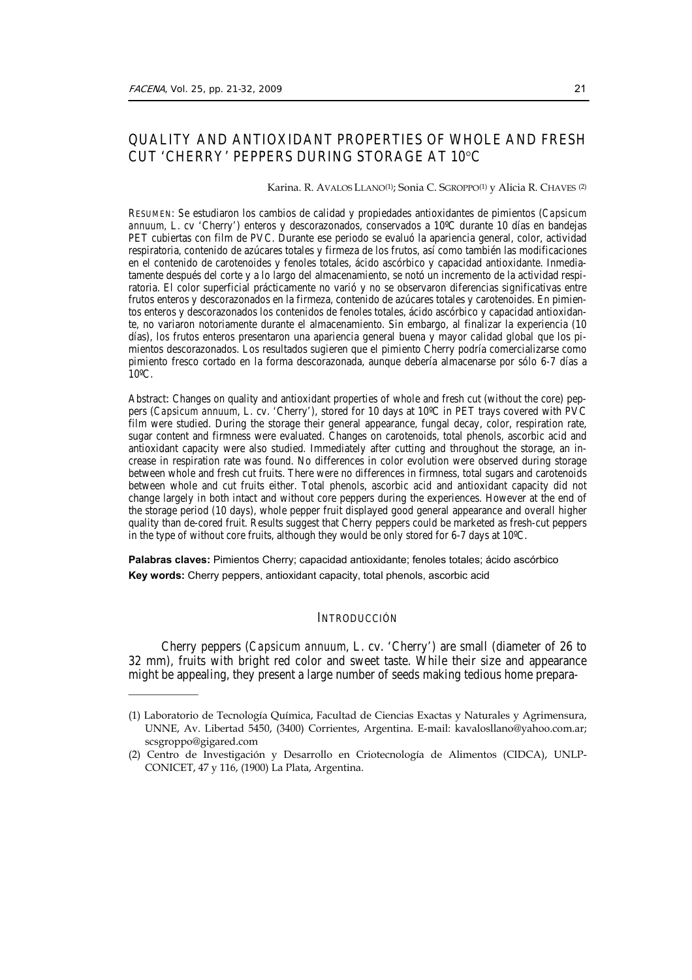$\frac{1}{2}$ 

# QUALITY AND ANTIOXIDANT PROPERTIES OF WHOLE AND FRESH CUT 'CHERRY' PEPPERS DURING STORAGE AT 10°C

#### Karina. R. AVALOS LLANO(1); Sonia C. SGROPPO(1) y Alicia R. CHAVES (2)

RESUMEN: Se estudiaron los cambios de calidad y propiedades antioxidantes de pimientos (*Capsicum annuum,* L. cv 'Cherry') enteros y descorazonados, conservados a 10ºC durante 10 días en bandejas PET cubiertas con film de PVC. Durante ese periodo se evaluó la apariencia general, color, actividad respiratoria, contenido de azúcares totales y firmeza de los frutos, así como también las modificaciones en el contenido de carotenoides y fenoles totales, ácido ascórbico y capacidad antioxidante. Inmediatamente después del corte y a lo largo del almacenamiento, se notó un incremento de la actividad respiratoria. El color superficial prácticamente no varió y no se observaron diferencias significativas entre frutos enteros y descorazonados en la firmeza, contenido de azúcares totales y carotenoides. En pimientos enteros y descorazonados los contenidos de fenoles totales, ácido ascórbico y capacidad antioxidante, no variaron notoriamente durante el almacenamiento. Sin embargo, al finalizar la experiencia (10 días), los frutos enteros presentaron una apariencia general buena y mayor calidad global que los pimientos descorazonados. Los resultados sugieren que el pimiento Cherry podría comercializarse como pimiento fresco cortado en la forma descorazonada, aunque debería almacenarse por sólo 6-7 días a 10ºC.

Abstract**:** Changes on quality and antioxidant properties of whole and fresh cut (without the core) peppers (*Capsicum annuum*, L. cv. 'Cherry'), stored for 10 days at 10ºC in PET trays covered with PVC film were studied. During the storage their general appearance, fungal decay, color, respiration rate, sugar content and firmness were evaluated. Changes on carotenoids, total phenols, ascorbic acid and antioxidant capacity were also studied. Immediately after cutting and throughout the storage, an increase in respiration rate was found. No differences in color evolution were observed during storage between whole and fresh cut fruits. There were no differences in firmness, total sugars and carotenoids between whole and cut fruits either. Total phenols, ascorbic acid and antioxidant capacity did not change largely in both intact and without core peppers during the experiences. However at the end of the storage period (10 days), whole pepper fruit displayed good general appearance and overall higher quality than de-cored fruit. Results suggest that Cherry peppers could be marketed as fresh-cut peppers in the type of without core fruits, although they would be only stored for 6-7 days at 10ºC.

**Palabras claves:** Pimientos Cherry; capacidad antioxidante; fenoles totales; ácido ascórbico **Key words:** Cherry peppers, antioxidant capacity, total phenols, ascorbic acid

# INTRODUCCIÓN

 Cherry peppers (*Capsicum annuum*, L. cv. 'Cherry') are small (diameter of 26 to 32 mm), fruits with bright red color and sweet taste. While their size and appearance might be appealing, they present a large number of seeds making tedious home prepara-

<sup>(1)</sup> Laboratorio de Tecnología Química, Facultad de Ciencias Exactas y Naturales y Agrimensura, UNNE, Av. Libertad 5450, (3400) Corrientes, Argentina. E-mail: kavalosllano@yahoo.com.ar; scsgroppo@gigared.com

<sup>(2)</sup> Centro de Investigación y Desarrollo en Criotecnología de Alimentos (CIDCA), UNLP-CONICET, 47 y 116, (1900) La Plata, Argentina.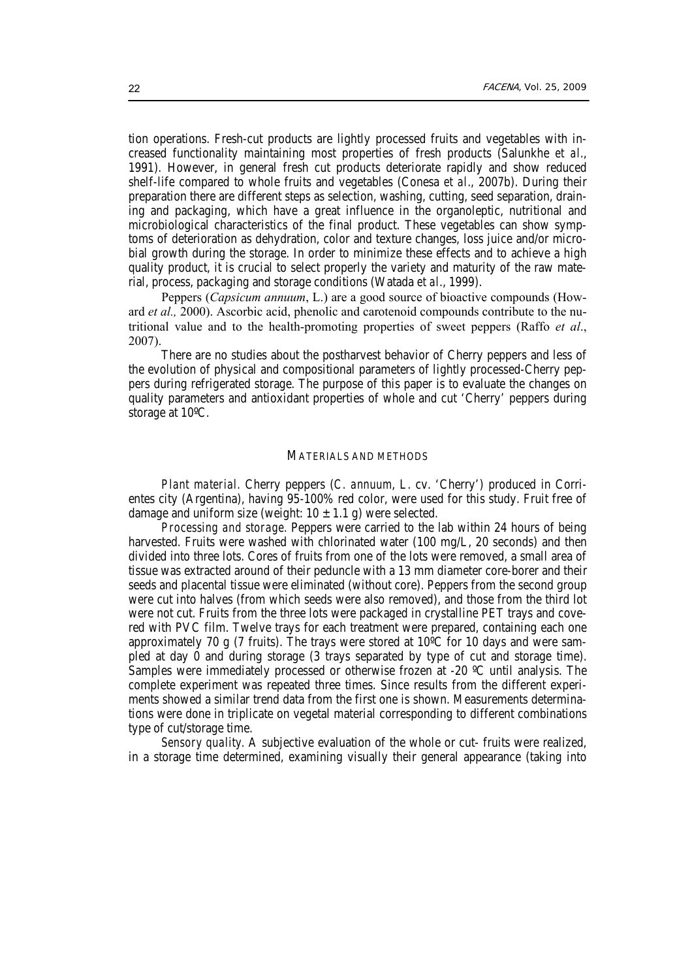tion operations. Fresh-cut products are lightly processed fruits and vegetables with increased functionality maintaining most properties of fresh products (Salunkhe *et al*., 1991). However, in general fresh cut products deteriorate rapidly and show reduced shelf-life compared to whole fruits and vegetables (Conesa *et al*., 2007b). During their preparation there are different steps as selection, washing, cutting, seed separation, draining and packaging, which have a great influence in the organoleptic, nutritional and microbiological characteristics of the final product. These vegetables can show symptoms of deterioration as dehydration, color and texture changes, loss juice and/or microbial growth during the storage. In order to minimize these effects and to achieve a high quality product, it is crucial to select properly the variety and maturity of the raw material, process, packaging and storage conditions (Watada *et al*., 1999).

 Peppers (*Capsicum annuum*, L.) are a good source of bioactive compounds (Howard *et al.,* 2000). Ascorbic acid, phenolic and carotenoid compounds contribute to the nutritional value and to the health-promoting properties of sweet peppers (Raffo *et al*., 2007).

 There are no studies about the postharvest behavior of Cherry peppers and less of the evolution of physical and compositional parameters of lightly processed-Cherry peppers during refrigerated storage. The purpose of this paper is to evaluate the changes on quality parameters and antioxidant properties of whole and cut 'Cherry' peppers during storage at 10ºC.

### MATERIALS AND METHODS

*Plant material.* Cherry peppers (*C. annuum*, L. cv. 'Cherry') produced in Corrientes city (Argentina), having 95-100% red color, were used for this study. Fruit free of damage and uniform size (weight:  $10 \pm 1.1$  g) were selected.

*Processing and storage.* Peppers were carried to the lab within 24 hours of being harvested. Fruits were washed with chlorinated water (100 mg/L, 20 seconds) and then divided into three lots. Cores of fruits from one of the lots were removed, a small area of tissue was extracted around of their peduncle with a 13 mm diameter core-borer and their seeds and placental tissue were eliminated (without core). Peppers from the second group were cut into halves (from which seeds were also removed), and those from the third lot were not cut. Fruits from the three lots were packaged in crystalline PET trays and covered with PVC film. Twelve trays for each treatment were prepared, containing each one approximately 70 g (7 fruits). The trays were stored at 10ºC for 10 days and were sampled at day 0 and during storage (3 trays separated by type of cut and storage time). Samples were immediately processed or otherwise frozen at -20  $^{\circ}$ C until analysis. The complete experiment was repeated three times. Since results from the different experiments showed a similar trend data from the first one is shown. Measurements determinations were done in triplicate on vegetal material corresponding to different combinations type of cut/storage time.

*Sensory quality.* A subjective evaluation of the whole or cut- fruits were realized, in a storage time determined, examining visually their general appearance (taking into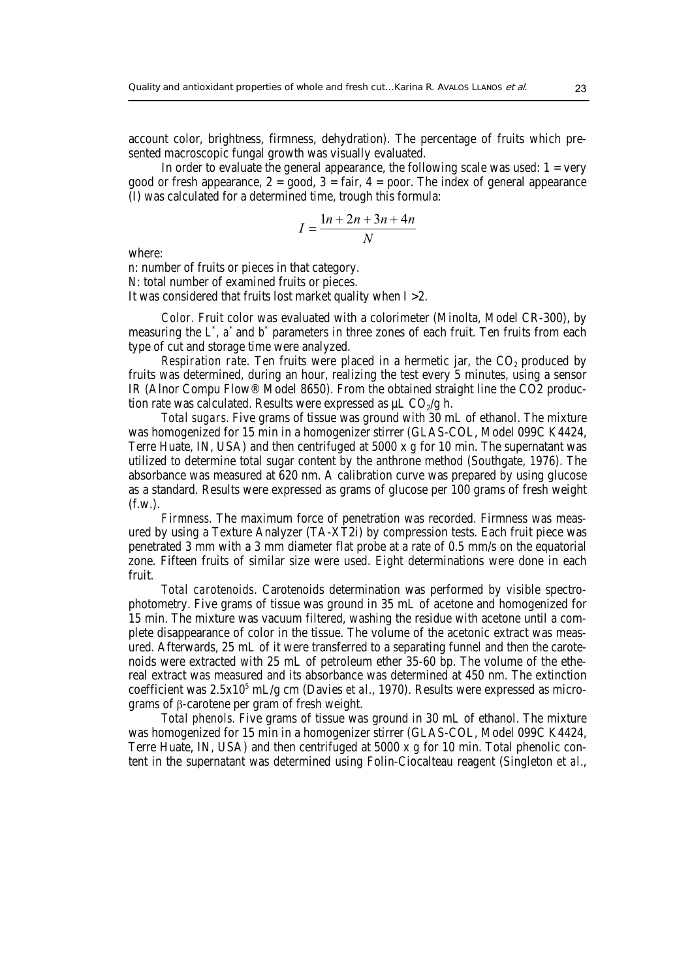account color, brightness, firmness, dehydration). The percentage of fruits which presented macroscopic fungal growth was visually evaluated.

In order to evaluate the general appearance, the following scale was used:  $1 = \text{very}$ good or fresh appearance,  $2 = \text{good}$ ,  $3 = \text{fair}$ ,  $4 = \text{poor}$ . The index of general appearance (I) was calculated for a determined time, trough this formula:

$$
I = \frac{1n + 2n + 3n + 4n}{N}
$$

where:

*n*: number of fruits or pieces in that category.

*N*: total number of examined fruits or pieces.

It was considered that fruits lost market quality when I >2.

*Color.* Fruit color was evaluated with a colorimeter (Minolta, Model CR-300), by measuring the L<sup>\*</sup>, a<sup>\*</sup> and b<sup>\*</sup> parameters in three zones of each fruit. Ten fruits from each type of cut and storage time were analyzed.

*Respiration rate.* Ten fruits were placed in a hermetic jar, the CO<sub>2</sub> produced by fruits was determined, during an hour, realizing the test every 5 minutes, using a sensor IR (Alnor Compu Flow® Model 8650). From the obtained straight line the CO2 production rate was calculated. Results were expressed as  $\mu$ L CO<sub>2</sub>/g h.

*Total sugars*. Five grams of tissue was ground with 30 mL of ethanol. The mixture was homogenized for 15 min in a homogenizer stirrer (GLAS-COL, Model 099C K4424, Terre Huate, IN, USA) and then centrifuged at 5000 x *g* for 10 min. The supernatant was utilized to determine total sugar content by the anthrone method (Southgate, 1976). The absorbance was measured at 620 nm. A calibration curve was prepared by using glucose as a standard. Results were expressed as grams of glucose per 100 grams of fresh weight (f.w.).

*Firmness.* The maximum force of penetration was recorded. Firmness was measured by using a Texture Analyzer (TA-XT2i) by compression tests. Each fruit piece was penetrated 3 mm with a 3 mm diameter flat probe at a rate of 0.5 mm/s on the equatorial zone. Fifteen fruits of similar size were used. Eight determinations were done in each fruit.

*Total carotenoids*. Carotenoids determination was performed by visible spectrophotometry. Five grams of tissue was ground in 35 mL of acetone and homogenized for 15 min. The mixture was vacuum filtered, washing the residue with acetone until a complete disappearance of color in the tissue. The volume of the acetonic extract was measured. Afterwards, 25 mL of it were transferred to a separating funnel and then the carotenoids were extracted with 25 mL of petroleum ether 35-60 bp. The volume of the ethereal extract was measured and its absorbance was determined at 450 nm. The extinction coefficient was 2.5x10<sup>5</sup> mL/g cm (Davies *et al.*, 1970). Results were expressed as micrograms of β-carotene per gram of fresh weight.

*Total phenols.* Five grams of tissue was ground in 30 mL of ethanol. The mixture was homogenized for 15 min in a homogenizer stirrer (GLAS-COL, Model 099C K4424, Terre Huate, IN, USA) and then centrifuged at 5000 x *g* for 10 min. Total phenolic content in the supernatant was determined using Folin-Ciocalteau reagent (Singleton *et al*.,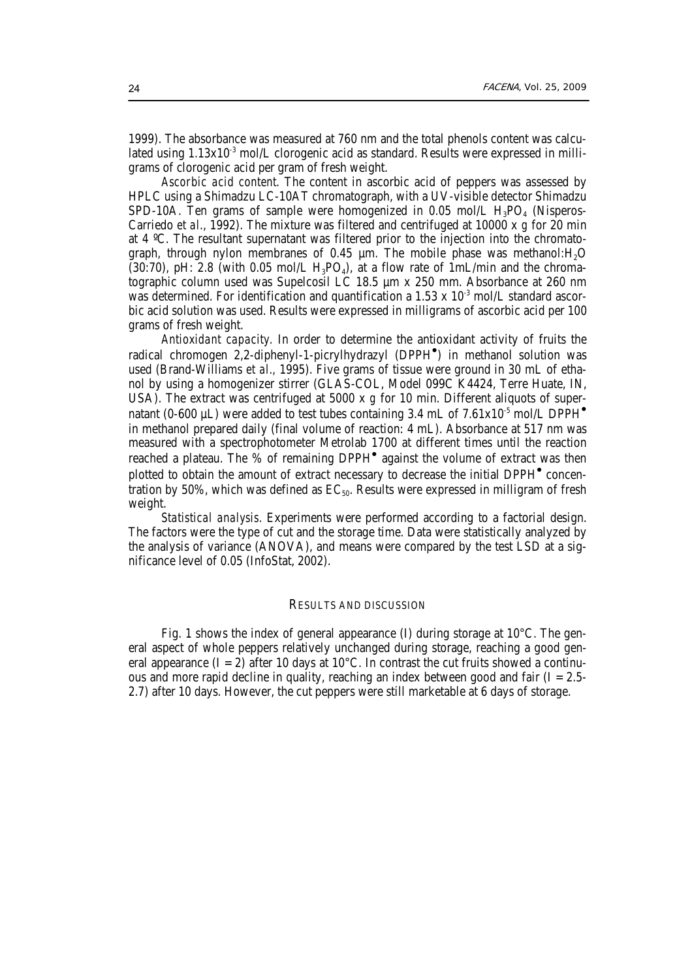1999). The absorbance was measured at 760 nm and the total phenols content was calculated using  $1.13x10<sup>3</sup>$  mol/L clorogenic acid as standard. Results were expressed in milligrams of clorogenic acid per gram of fresh weight.

*Ascorbic acid content.* The content in ascorbic acid of peppers was assessed by HPLC using a Shimadzu LC-10AT chromatograph, with a UV-visible detector Shimadzu SPD-10A. Ten grams of sample were homogenized in 0.05 mol/L  $H_3PO_4$  (Nisperos-Carriedo *et al*., 1992). The mixture was filtered and centrifuged at 10000 x *g* for 20 min at 4 ºC. The resultant supernatant was filtered prior to the injection into the chromatograph, through nylon membranes of 0.45 µm. The mobile phase was methanol:H2O  $(30:70)$ , pH: 2.8 (with 0.05 mol/L H<sub>3</sub>PO<sub>4</sub>), at a flow rate of 1mL/min and the chromatographic column used was Supelcosil LC 18.5 µm x 250 mm. Absorbance at 260 nm was determined. For identification and quantification a 1.53 x 10 $^3$  mol/L standard ascorbic acid solution was used. Results were expressed in milligrams of ascorbic acid per 100 grams of fresh weight.

*Antioxidant capacity.* In order to determine the antioxidant activity of fruits the radical chromogen 2,2-diphenyl-1-picrylhydrazyl (DPPH<sup>®</sup>) in methanol solution was used (Brand-Williams *et al.,* 1995). Five grams of tissue were ground in 30 mL of ethanol by using a homogenizer stirrer (GLAS-COL, Model 099C K4424, Terre Huate, IN, USA). The extract was centrifuged at 5000 x *g* for 10 min. Different aliquots of supernatant (0-600  $\mu$ L) were added to test tubes containing 3.4 mL of 7.61x10<sup>-5</sup> mol/L DPPH<sup> $^{\bullet}$ </sup> in methanol prepared daily (final volume of reaction: 4 mL). Absorbance at 517 nm was measured with a spectrophotometer Metrolab 1700 at different times until the reaction reached a plateau. The % of remaining DPPH<sup>®</sup> against the volume of extract was then plotted to obtain the amount of extract necessary to decrease the initial DPPH<sup>®</sup> concentration by 50%, which was defined as  $EC_{50}$ . Results were expressed in milligram of fresh weight.

*Statistical analysis.* Experiments were performed according to a factorial design. The factors were the type of cut and the storage time. Data were statistically analyzed by the analysis of variance (ANOVA), and means were compared by the test LSD at a significance level of 0.05 (InfoStat, 2002).

### RESULTS AND DISCUSSION

 Fig. 1 shows the index of general appearance (I) during storage at 10°C. The general aspect of whole peppers relatively unchanged during storage, reaching a good general appearance ( $I = 2$ ) after 10 days at 10 $^{\circ}$ C. In contrast the cut fruits showed a continuous and more rapid decline in quality, reaching an index between good and fair ( $I = 2.5$ -2.7) after 10 days. However, the cut peppers were still marketable at 6 days of storage.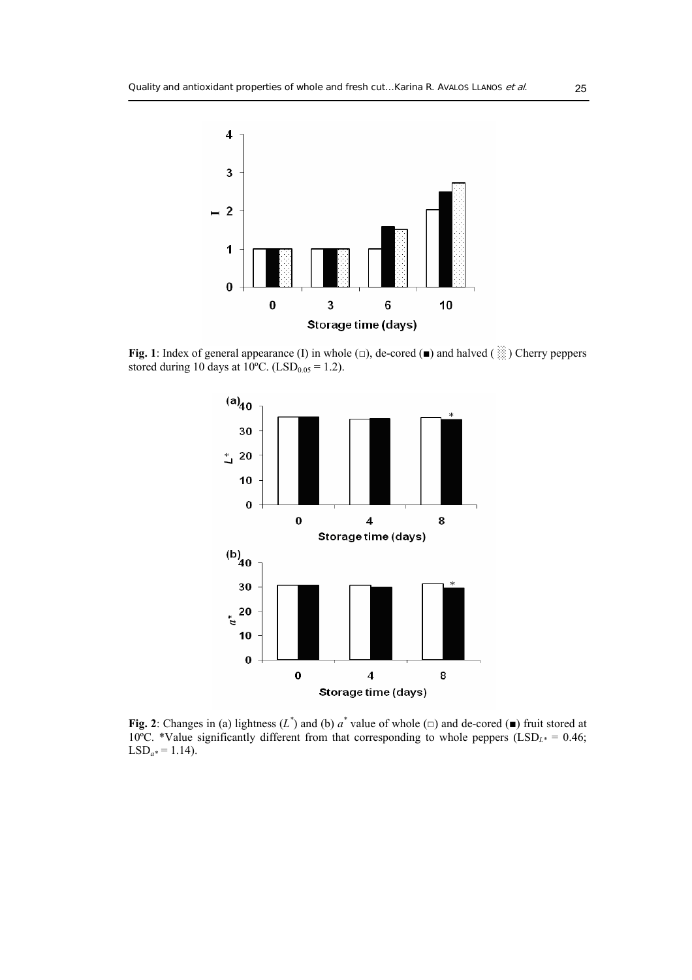

**Fig. 1**: Index of general appearance (I) in whole (□), de-cored (**■**) and halved ( ░ ) Cherry peppers stored during 10 days at 10°C. (LSD<sub>0.05</sub> = 1.2).



**Fig. 2**: Changes in (a) lightness  $(L^*)$  and (b)  $a^*$  value of whole  $(\square)$  and de-cored  $(\square)$  fruit stored at 10<sup>°</sup>C. \*Value significantly different from that corresponding to whole peppers (LSD<sub>L\*</sub> = 0.46;  $LSD<sub>a</sub> = 1.14$ .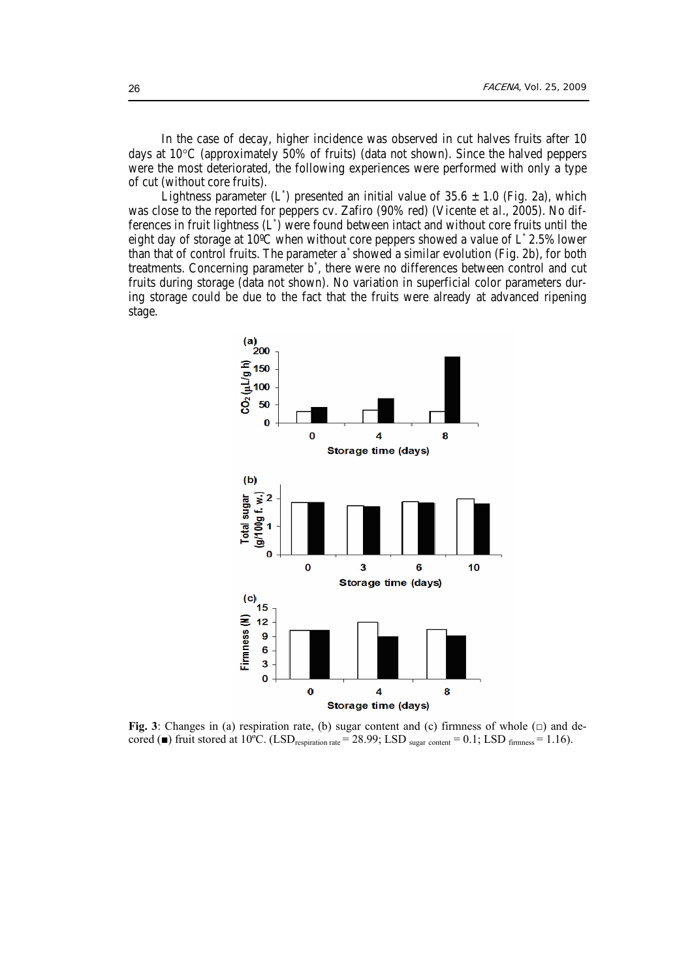In the case of decay, higher incidence was observed in cut halves fruits after 10 days at 10°C (approximately 50% of fruits) (data not shown). Since the halved peppers were the most deteriorated, the following experiences were performed with only a type of cut (without core fruits).

Lightness parameter (L<sup>\*</sup>) presented an initial value of 35.6 ± 1.0 (Fig. 2a), which was close to the reported for peppers cv. Zafiro (90% red) (Vicente *et al*., 2005). No differences in fruit lightness (*L\** ) were found between intact and without core fruits until the eight day of storage at 10ºC when without core peppers showed a value of *L\** 2.5% lower than that of control fruits. The parameter *a\** showed a similar evolution (Fig. 2b), for both treatments. Concerning parameter  $b^*$ , there were no differences between control and cut fruits during storage (data not shown). No variation in superficial color parameters during storage could be due to the fact that the fruits were already at advanced ripening stage.



**Fig. 3**: Changes in (a) respiration rate, (b) sugar content and (c) firmness of whole  $(\square)$  and decored ( $\blacksquare$ ) fruit stored at 10<sup>o</sup>C. (LSD<sub>respiration rate</sub> = 28.99; LSD <sub>sugar content</sub> = 0.1; LSD  $_{\text{firmness}}$  = 1.16).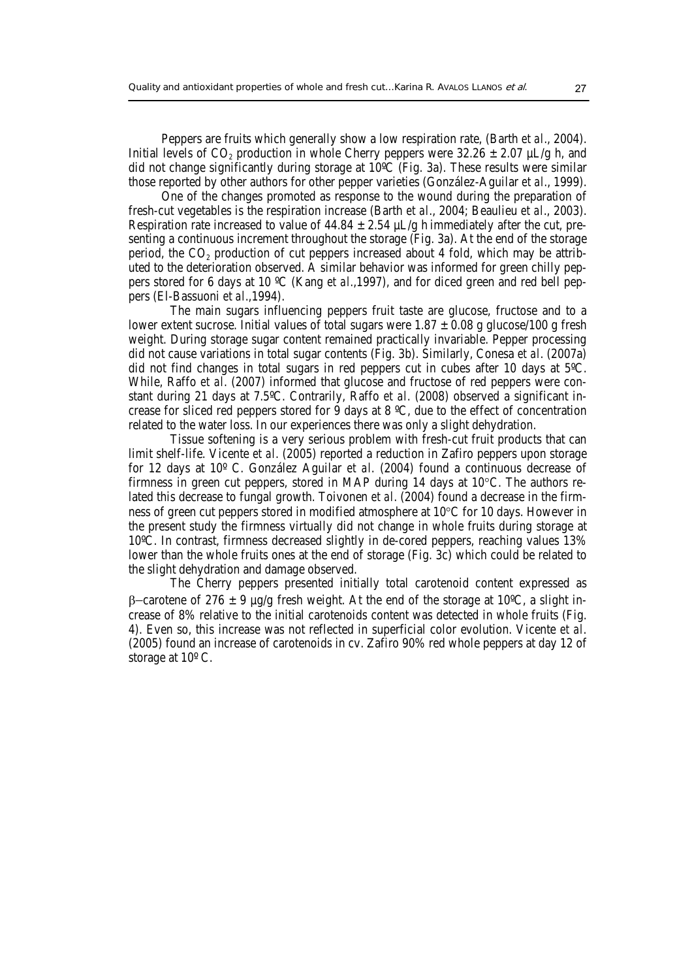Peppers are fruits which generally show a low respiration rate, (Barth *et al*., 2004). Initial levels of CO<sub>2</sub> production in whole Cherry peppers were  $32.26 \pm 2.07$  µL/g h, and did not change significantly during storage at 10ºC (Fig. 3a). These results were similar those reported by other authors for other pepper varieties (González-Aguilar *et al*., 1999).

 One of the changes promoted as response to the wound during the preparation of fresh-cut vegetables is the respiration increase (Barth *et al*., 2004; Beaulieu *et al*., 2003). Respiration rate increased to value of  $44.84 \pm 2.54$  µL/g h immediately after the cut, presenting a continuous increment throughout the storage (Fig. 3a). At the end of the storage period, the  $CO<sub>2</sub>$  production of cut peppers increased about 4 fold, which may be attributed to the deterioration observed. A similar behavior was informed for green chilly peppers stored for 6 days at 10 ºC (Kang *et al*.,1997), and for diced green and red bell peppers (El-Bassuoni *et al*.,1994).

The main sugars influencing peppers fruit taste are glucose, fructose and to a lower extent sucrose. Initial values of total sugars were  $1.87 \pm 0.08$  g glucose/100 g fresh weight. During storage sugar content remained practically invariable. Pepper processing did not cause variations in total sugar contents (Fig. 3b). Similarly, Conesa *et al*. (2007a) did not find changes in total sugars in red peppers cut in cubes after 10 days at 5ºC. While, Raffo *et al*. (2007) informed that glucose and fructose of red peppers were constant during 21 days at 7.5ºC. Contrarily, Raffo *et al*. (2008) observed a significant increase for sliced red peppers stored for  $\overline{9}$  days at 8 °C, due to the effect of concentration related to the water loss. In our experiences there was only a slight dehydration.

Tissue softening is a very serious problem with fresh-cut fruit products that can limit shelf-life. Vicente *et al*. (2005) reported a reduction in Zafiro peppers upon storage for 12 days at 10º C. González Aguilar *et al*. (2004) found a continuous decrease of firmness in green cut peppers, stored in MAP during 14 days at 10°C. The authors related this decrease to fungal growth. Toivonen *et al*. (2004) found a decrease in the firmness of green cut peppers stored in modified atmosphere at 10°C for 10 days. However in the present study the firmness virtually did not change in whole fruits during storage at 10ºC. In contrast, firmness decreased slightly in de-cored peppers, reaching values 13% lower than the whole fruits ones at the end of storage (Fig. 3c) which could be related to the slight dehydration and damage observed.

The Cherry peppers presented initially total carotenoid content expressed as β−carotene of 276 ± 9 µg/g fresh weight. At the end of the storage at 10ºC, a slight increase of 8% relative to the initial carotenoids content was detected in whole fruits (Fig. 4). Even so, this increase was not reflected in superficial color evolution. Vicente *et al*. (2005) found an increase of carotenoids in cv. Zafiro 90% red whole peppers at day 12 of storage at 10º C.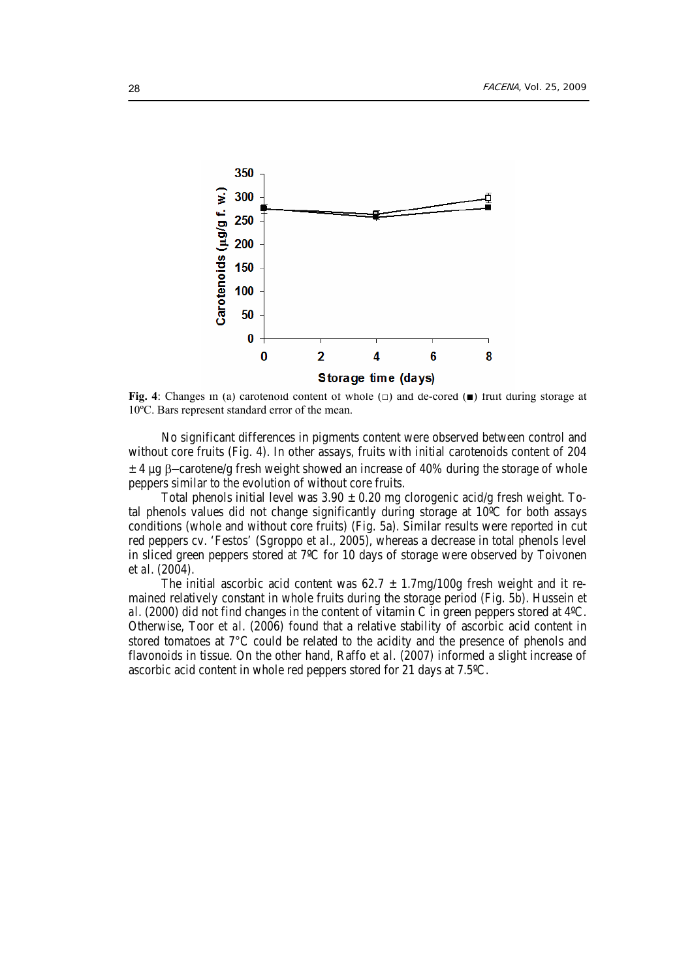

**Fig. 4**: Changes in (a) carotenoid content of whole (□) and de-cored (■) fruit during storage at 10ºC. Bars represent standard error of the mean.

 No significant differences in pigments content were observed between control and without core fruits (Fig. 4). In other assays, fruits with initial carotenoids content of 204 ± 4 µg β−carotene/g fresh weight showed an increase of 40% during the storage of whole peppers similar to the evolution of without core fruits.

Total phenols initial level was  $3.90 \pm 0.20$  mg clorogenic acid/g fresh weight. Total phenols values did not change significantly during storage at 10ºC for both assays conditions (whole and without core fruits) (Fig. 5a). Similar results were reported in cut red peppers cv. 'Festos' (Sgroppo *et al*., 2005), whereas a decrease in total phenols level in sliced green peppers stored at 7ºC for 10 days of storage were observed by Toivonen *et al*. (2004).

The initial ascorbic acid content was  $62.7 \pm 1.7$ mg/100g fresh weight and it remained relatively constant in whole fruits during the storage period (Fig. 5b). Hussein *et al*. (2000) did not find changes in the content of vitamin C in green peppers stored at 4ºC. Otherwise, Toor *et al*. (2006) found that a relative stability of ascorbic acid content in stored tomatoes at 7°C could be related to the acidity and the presence of phenols and flavonoids in tissue. On the other hand, Raffo *et al*. (2007) informed a slight increase of ascorbic acid content in whole red peppers stored for 21 days at 7.5ºC.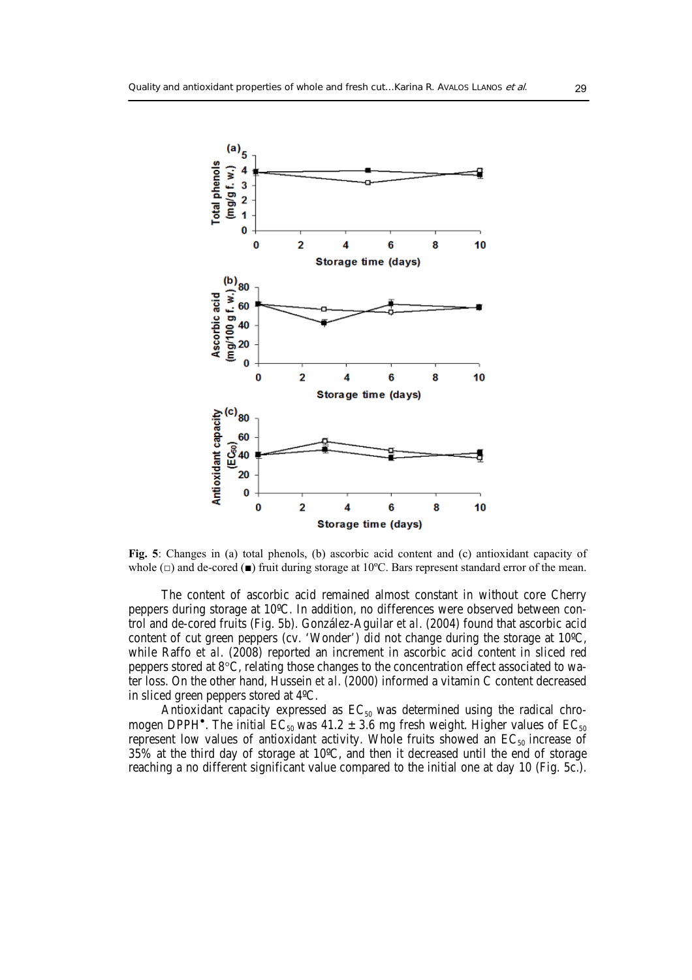

**Fig. 5**: Changes in (a) total phenols, (b) ascorbic acid content and (c) antioxidant capacity of whole (□) and de-cored (**■**) fruit during storage at 10ºC. Bars represent standard error of the mean.

 The content of ascorbic acid remained almost constant in without core Cherry peppers during storage at 10ºC. In addition, no differences were observed between control and de-cored fruits (Fig. 5b). González-Aguilar *et al*. (2004) found that ascorbic acid content of cut green peppers (cv. 'Wonder') did not change during the storage at 10ºC, while Raffo *et al*. (2008) reported an increment in ascorbic acid content in sliced red peppers stored at  $8^{\circ}$ C, relating those changes to the concentration effect associated to water loss. On the other hand, Hussein *et al*. (2000) informed a vitamin C content decreased in sliced green peppers stored at 4ºC.

Antioxidant capacity expressed as  $EC_{50}$  was determined using the radical chromogen DPPH<sup>•</sup>. The initial  $\mathsf{EC}_{50}$  was 41.2  $\pm$  3.6 mg fresh weight. Higher values of  $\mathsf{EC}_{50}$ represent low values of antioxidant activity. Whole fruits showed an  $EC_{50}$  increase of 35% at the third day of storage at 10 $\degree$ C, and then it decreased until the end of storage reaching a no different significant value compared to the initial one at day 10 (Fig. 5c.).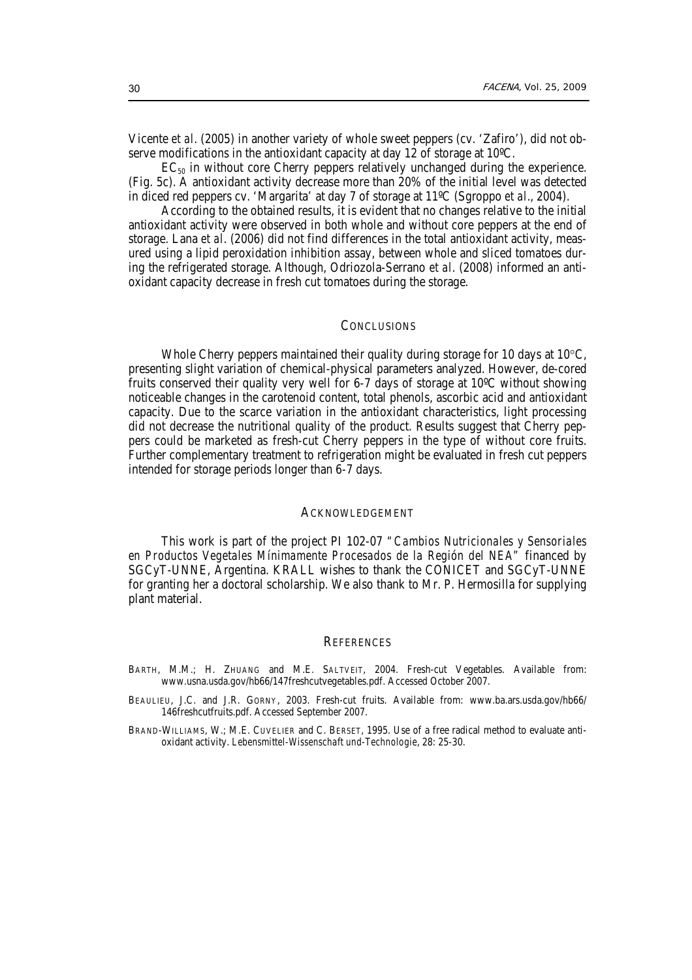Vicente *et al*. (2005) in another variety of whole sweet peppers (cv. 'Zafiro'), did not observe modifications in the antioxidant capacity at day 12 of storage at 10ºC.

 $EC_{50}$  in without core Cherry peppers relatively unchanged during the experience. (Fig. 5c). A antioxidant activity decrease more than 20% of the initial level was detected in diced red peppers cv. 'Margarita' at day 7 of storage at 11ºC (Sgroppo *et al*., 2004).

 According to the obtained results, it is evident that no changes relative to the initial antioxidant activity were observed in both whole and without core peppers at the end of storage. Lana *et al*. (2006) did not find differences in the total antioxidant activity, measured using a lipid peroxidation inhibition assay, between whole and sliced tomatoes during the refrigerated storage. Although, Odriozola-Serrano *et al*. (2008) informed an antioxidant capacity decrease in fresh cut tomatoes during the storage.

## **CONCLUSIONS**

Whole Cherry peppers maintained their quality during storage for 10 days at 10°C, presenting slight variation of chemical-physical parameters analyzed. However, de-cored fruits conserved their quality very well for 6-7 days of storage at 10ºC without showing noticeable changes in the carotenoid content, total phenols, ascorbic acid and antioxidant capacity. Due to the scarce variation in the antioxidant characteristics, light processing did not decrease the nutritional quality of the product. Results suggest that Cherry peppers could be marketed as fresh-cut Cherry peppers in the type of without core fruits. Further complementary treatment to refrigeration might be evaluated in fresh cut peppers intended for storage periods longer than 6-7 days.

### ACKNOWLEDGEMENT

 This work is part of the project PI 102-07 *"Cambios Nutricionales y Sensoriales en Productos Vegetales Mínimamente Procesados de la Región del NEA"* financed by SGCyT-UNNE, Argentina. KRALL wishes to thank the CONICET and SGCyT-UNNE for granting her a doctoral scholarship. We also thank to Mr. P. Hermosilla for supplying plant material.

#### **REFERENCES**

- BARTH, M.M.; H. ZHUANG and M.E. SALTVEIT, 2004. Fresh-cut Vegetables. Available from: www.usna.usda.gov/hb66/147freshcutvegetables.pdf. Accessed October 2007.
- BEAULIEU, J.C. and J.R. GORNY, 2003. Fresh-cut fruits. Available from: www.ba.ars.usda.gov/hb66/ 146freshcutfruits.pdf. Accessed September 2007.
- BRAND-WILLIAMS, W.; M.E. CUVELIER and C. BERSET, 1995. Use of a free radical method to evaluate antioxidant activity. *Lebensmittel-Wissenschaft und-Technologie*, 28: 25-30.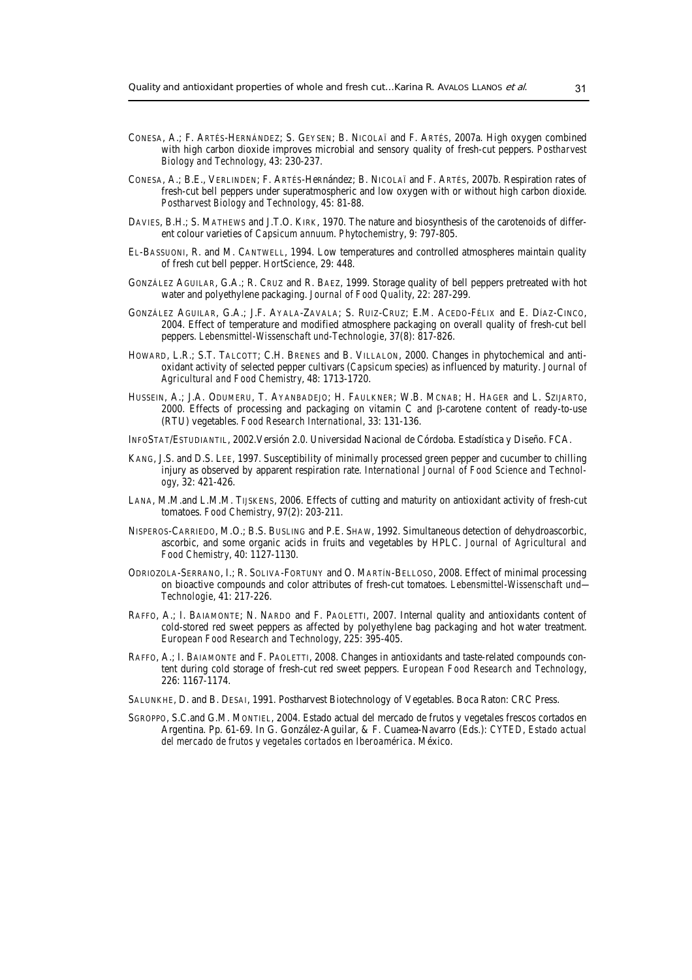- CONESA, A.; F. ARTÉS-HERNÁNDEZ; S. GEYSEN; B. NICOLAÏ and F. ARTÉS, 2007a. High oxygen combined with high carbon dioxide improves microbial and sensory quality of fresh-cut peppers. *Postharvest Biology and Technology*, 43: 230-237.
- CONESA, A.; B.E., VERLINDEN; F. ARTÉS-HeRnández; B. NICOLAÏ and F. ARTÉS, 2007b. Respiration rates of fresh-cut bell peppers under superatmospheric and low oxygen with or without high carbon dioxide. *Postharvest Biology and Technology*, 45: 81-88.
- DAVIES, B.H.; S. MATHEWS and J.T.O. KIRK, 1970. The nature and biosynthesis of the carotenoids of different colour varieties of *Capsicum annuum*. *Phytochemistry*, 9: 797-805.
- EL-BASSUONI, R. and M. CANTWELL, 1994. Low temperatures and controlled atmospheres maintain quality of fresh cut bell pepper. *HortScience*, 29: 448.
- GONZÁLEZ AGUILAR, G.A.; R. CRUZ and R. BAEZ, 1999. Storage quality of bell peppers pretreated with hot water and polyethylene packaging. *Journal of Food Quality*, 22: 287-299.
- GONZÁLEZ AGUILAR, G.A.; J.F. AYALA-ZAVALA; S. RUIZ-CRUZ; E.M. ACEDO-FÉLIX and E. DÍAZ-CINCO, 2004. Effect of temperature and modified atmosphere packaging on overall quality of fresh-cut bell peppers. *Lebensmittel-Wissenschaft und-Technologie*, 37(8): 817-826.
- HOWARD, L.R.; S.T. TALCOTT; C.H. BRENES and B. VILLALON, 2000. Changes in phytochemical and antioxidant activity of selected pepper cultivars (*Capsicum* species) as influenced by maturity. *Journal of Agricultural and Food Chemistry*, 48: 1713-1720.
- HUSSEIN, A.; J.A. ODUMERU, T. AYANBADEJO; H. FAULKNER; W.B. MCNAB; H. HAGER and L. SZIJARTO, 2000. Effects of processing and packaging on vitamin C and β-carotene content of ready-to-use (RTU) vegetables. *Food Research International*, 33: 131-136.
- INFOSTAT/ESTUDIANTIL, 2002.Versión 2.0. Universidad Nacional de Córdoba. Estadística y Diseño. FCA.
- KANG, J.S. and D.S. LEE, 1997. Susceptibility of minimally processed green pepper and cucumber to chilling injury as observed by apparent respiration rate. *International Journal of Food Science and Technology*, 32: 421-426.
- LANA, M.M.and L.M.M. TIJSKENS, 2006. Effects of cutting and maturity on antioxidant activity of fresh-cut tomatoes. *Food Chemistry*, 97(2): 203-211.
- NISPEROS-CARRIEDO, M.O.; B.S. BUSLING and P.E. SHAW, 1992. Simultaneous detection of dehydroascorbic, ascorbic, and some organic acids in fruits and vegetables by HPLC. *Journal of Agricultural and Food Chemistry*, 40: 1127-1130.
- ODRIOZOLA-SERRANO, I.; R. SOLIVA-FORTUNY and O. MARTÍN-BELLOSO, 2008. Effect of minimal processing on bioactive compounds and color attributes of fresh-cut tomatoes. *Lebensmittel-Wissenschaft und— Technologie*, 41: 217-226.
- RAFFO, A.; I. BAIAMONTE; N. NARDO and F. PAOLETTI, 2007. Internal quality and antioxidants content of cold-stored red sweet peppers as affected by polyethylene bag packaging and hot water treatment. *European Food Research and Technology*, 225: 395-405.
- RAFFO, A.; I. BAIAMONTE and F. PAOLETTI, 2008. Changes in antioxidants and taste-related compounds content during cold storage of fresh-cut red sweet peppers. *European Food Research and Technology*, 226: 1167-1174.
- SALUNKHE, D. and B. DESAI, 1991. Postharvest Biotechnology of Vegetables. Boca Raton: CRC Press.
- SGROPPO, S.C.and G.M. MONTIEL, 2004. Estado actual del mercado de frutos y vegetales frescos cortados en Argentina. Pp. 61-69. In G. González-Aguilar, & F. Cuamea-Navarro (Eds.): *CYTED*, *Estado actual del mercado de frutos y vegetales cortados en Iberoamérica*. México.